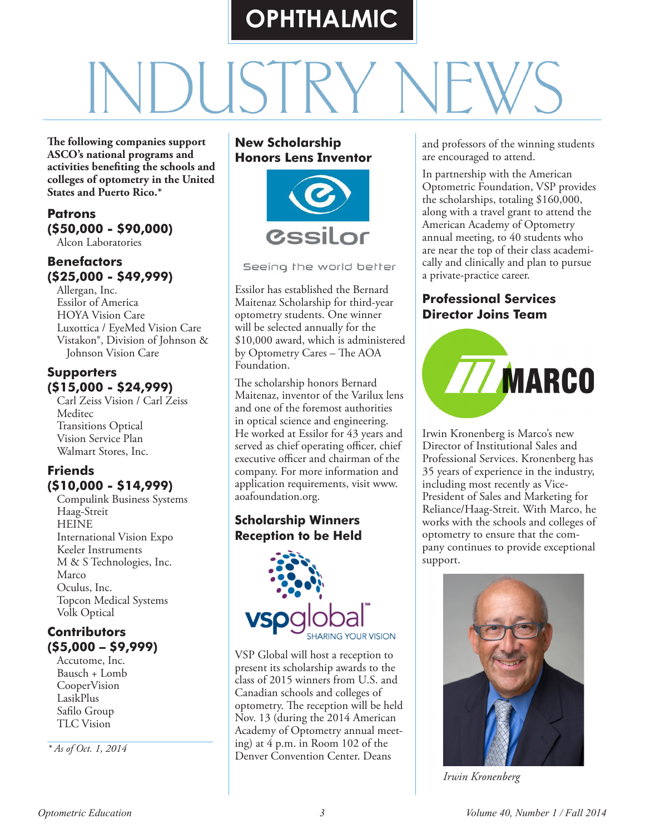# **OPHTHALMIC**

**The following companies support ASCO's national programs and activities benefiting the schools and colleges of optometry in the United States and Puerto Rico.\***

#### **Patrons (\$50,000 - \$90,000)**

Alcon Laboratories

# **Benefactors (\$25,000 - \$49,999)**

Allergan, Inc. Essilor of America HOYA Vision Care Luxottica / EyeMed Vision Care Vistakon®, Division of Johnson & Johnson Vision Care

### **Supporters (\$15,000 - \$24,999)**

Carl Zeiss Vision / Carl Zeiss Meditec Transitions Optical Vision Service Plan Walmart Stores, Inc.

## **Friends (\$10,000 - \$14,999)**

Compulink Business Systems Haag-Streit **HEINE** International Vision Expo Keeler Instruments M & S Technologies, Inc. Marco Oculus, Inc. Topcon Medical Systems Volk Optical

## **Contributors (\$5,000 – \$9,999)**

Accutome, Inc. Bausch + Lomb CooperVision LasikPlus Safilo Group TLC Vision

*\* As of Oct. 1, 2014*

#### **New Scholarship Honors Lens Inventor**



Seeing the world better

Essilor has established the Bernard Maitenaz Scholarship for third-year optometry students. One winner will be selected annually for the \$10,000 award, which is administered by Optometry Cares – The AOA Foundation.

The scholarship honors Bernard Maitenaz, inventor of the Varilux lens and one of the foremost authorities in optical science and engineering. He worked at Essilor for 43 years and served as chief operating officer, chief executive officer and chairman of the company. For more information and application requirements, visit www. aoafoundation.org.

# **Scholarship Winners Reception to be Held**



VSP Global will host a reception to present its scholarship awards to the class of 2015 winners from U.S. and Canadian schools and colleges of optometry. The reception will be held Nov. 13 (during the 2014 American Academy of Optometry annual meeting) at 4 p.m. in Room 102 of the Denver Convention Center. Deans

and professors of the winning students are encouraged to attend.

In partnership with the American Optometric Foundation, VSP provides the scholarships, totaling \$160,000, along with a travel grant to attend the American Academy of Optometry annual meeting, to 40 students who are near the top of their class academically and clinically and plan to pursue a private-practice career.

### **Professional Services Director Joins Team**



Irwin Kronenberg is Marco's new Director of Institutional Sales and Professional Services. Kronenberg has 35 years of experience in the industry, including most recently as Vice-President of Sales and Marketing for Reliance/Haag-Streit. With Marco, he works with the schools and colleges of optometry to ensure that the company continues to provide exceptional support.



*Irwin Kronenberg*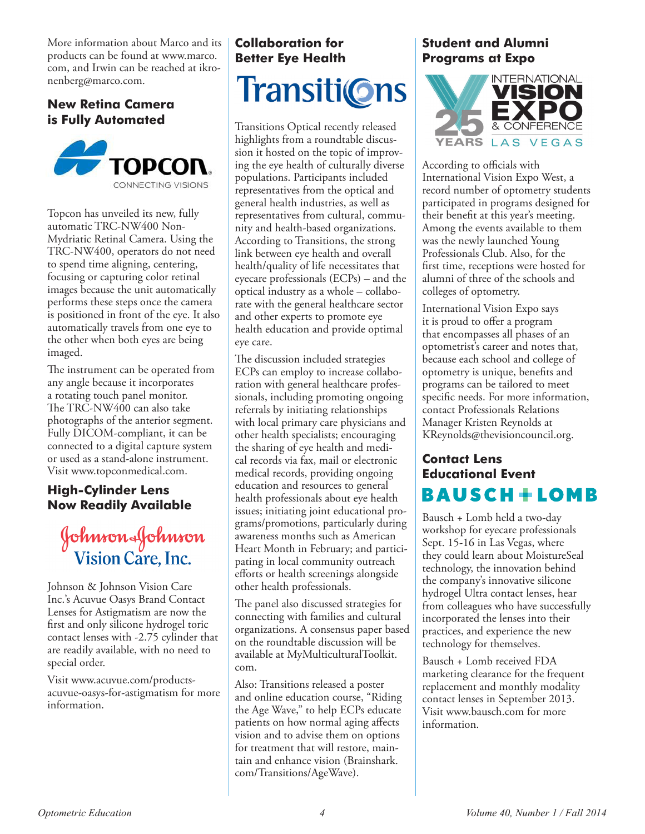More information about Marco and its products can be found at www.marco. com, and Irwin can be reached at ikronenberg@marco.com.

### **New Retina Camera is Fully Automated**



Topcon has unveiled its new, fully automatic TRC-NW400 Non-Mydriatic Retinal Camera. Using the TRC-NW400, operators do not need to spend time aligning, centering, focusing or capturing color retinal images because the unit automatically performs these steps once the camera is positioned in front of the eye. It also automatically travels from one eye to the other when both eyes are being imaged.

The instrument can be operated from any angle because it incorporates a rotating touch panel monitor. The TRC-NW400 can also take photographs of the anterior segment. Fully DICOM-compliant, it can be connected to a digital capture system or used as a stand-alone instrument. Visit www.topconmedical.com.

#### **High-Cylinder Lens Now Readily Available**

# Johnson&Johnson Vision Care, Inc.

Johnson & Johnson Vision Care Inc.'s Acuvue Oasys Brand Contact Lenses for Astigmatism are now the first and only silicone hydrogel toric contact lenses with -2.75 cylinder that are readily available, with no need to special order.

Visit www.acuvue.com/productsacuvue-oasys-for-astigmatism for more information.

# **Collaboration for Better Eye Health** Transiti©ns

Transitions Optical recently released highlights from a roundtable discussion it hosted on the topic of improving the eye health of culturally diverse populations. Participants included representatives from the optical and general health industries, as well as representatives from cultural, community and health-based organizations. According to Transitions, the strong link between eye health and overall health/quality of life necessitates that eyecare professionals (ECPs) – and the optical industry as a whole – collaborate with the general healthcare sector and other experts to promote eye health education and provide optimal eye care.

The discussion included strategies ECPs can employ to increase collaboration with general healthcare professionals, including promoting ongoing referrals by initiating relationships with local primary care physicians and other health specialists; encouraging the sharing of eye health and medical records via fax, mail or electronic medical records, providing ongoing education and resources to general health professionals about eye health issues; initiating joint educational programs/promotions, particularly during awareness months such as American Heart Month in February; and participating in local community outreach efforts or health screenings alongside other health professionals.

The panel also discussed strategies for connecting with families and cultural organizations. A consensus paper based on the roundtable discussion will be available at MyMulticulturalToolkit. com.

Also: Transitions released a poster and online education course, "Riding the Age Wave," to help ECPs educate patients on how normal aging affects vision and to advise them on options for treatment that will restore, maintain and enhance vision (Brainshark. com/Transitions/AgeWave).

### **Student and Alumni Programs at Expo**



According to officials with International Vision Expo West, a record number of optometry students participated in programs designed for their benefit at this year's meeting. Among the events available to them was the newly launched Young Professionals Club. Also, for the first time, receptions were hosted for alumni of three of the schools and colleges of optometry.

International Vision Expo says it is proud to offer a program that encompasses all phases of an optometrist's career and notes that, because each school and college of optometry is unique, benefits and programs can be tailored to meet specific needs. For more information, contact Professionals Relations Manager Kristen Reynolds at KReynolds@thevisioncouncil.org.

# **Contact Lens Educational Event** BAUSCH+LOMB

Bausch + Lomb held a two-day workshop for eyecare professionals Sept. 15-16 in Las Vegas, where they could learn about MoistureSeal technology, the innovation behind the company's innovative silicone hydrogel Ultra contact lenses, hear from colleagues who have successfully incorporated the lenses into their practices, and experience the new technology for themselves.

Bausch + Lomb received FDA marketing clearance for the frequent replacement and monthly modality contact lenses in September 2013. Visit www.bausch.com for more information.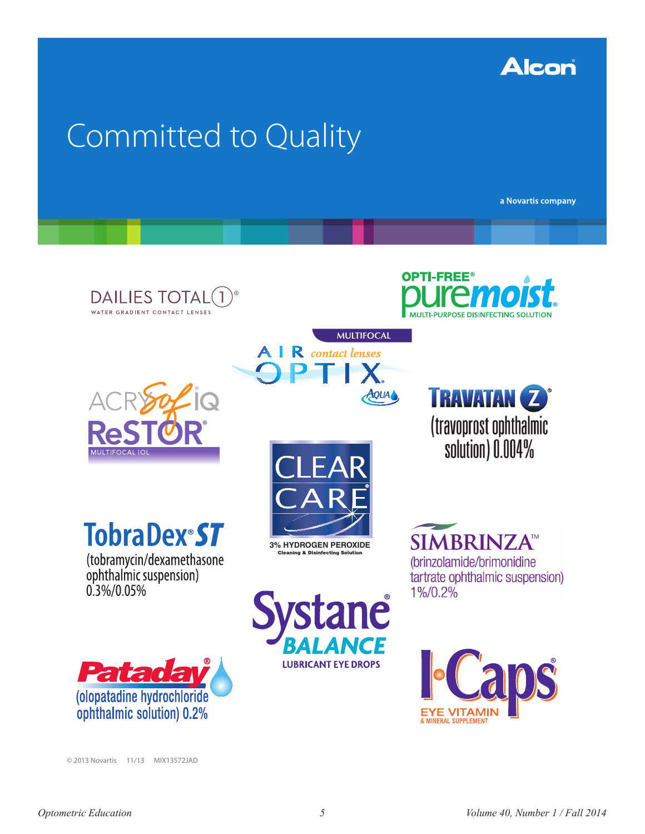

# Committed to Quality

a Novartis company

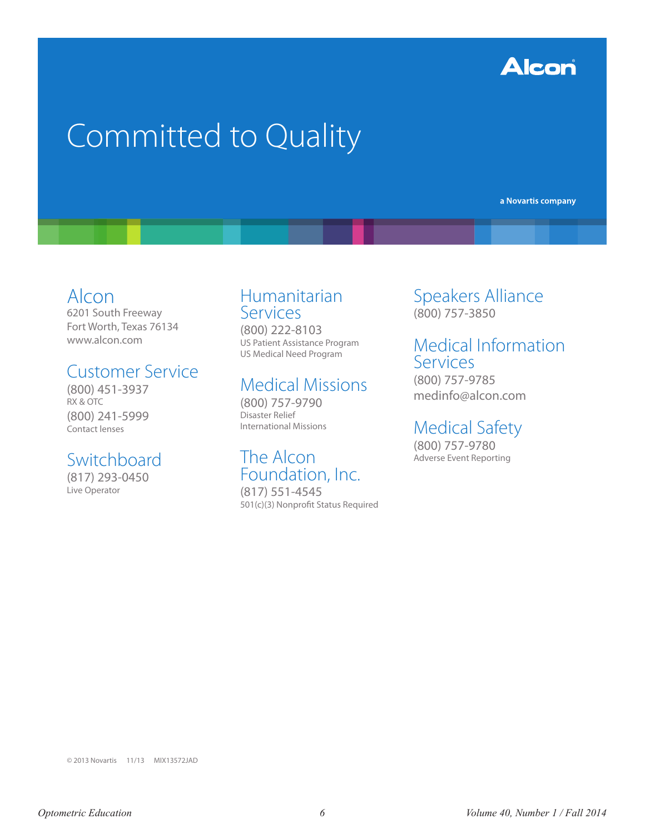

# Committed to Quality

a Novartis company

# Alcon

6201 South Freeway Fort Worth, Texas 76134 www.alcon.com

# Customer Service

(800) 451-3937 RX & OTC (800) 241-5999 Contact lenses

# Switchboard

(817) 293-0450 Live Operator

# Humanitarian Services

(800) 222-8103 US Patient Assistance Program US Medical Need Program

# Medical Missions

(800) 757-9790 Disaster Relief International Missions

# The Alcon Foundation, Inc.

(817) 551-4545 501(c)(3) Nonprofit Status Required Speakers Alliance (800) 757-3850

# Medical Information **Services**

(800) 757-9785 medinfo@alcon.com

# Medical Safety

(800) 757-9780 Adverse Event Reporting

© 2013 Novartis 11/13 MIX13572JAD